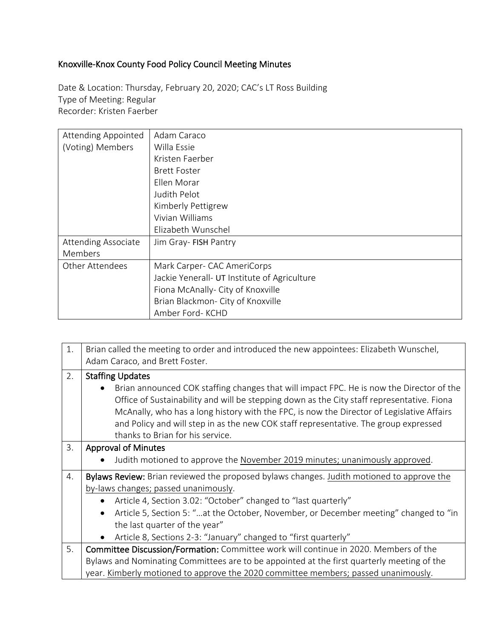## Knoxville-Knox County Food Policy Council Meeting Minutes

Date & Location: Thursday, February 20, 2020; CAC's LT Ross Building Type of Meeting: Regular Recorder: Kristen Faerber

| <b>Attending Appointed</b> | Adam Caraco                                  |
|----------------------------|----------------------------------------------|
| (Voting) Members           | Willa Essie                                  |
|                            | Kristen Faerber                              |
|                            | <b>Brett Foster</b>                          |
|                            | Ellen Morar                                  |
|                            | Judith Pelot                                 |
|                            | Kimberly Pettigrew                           |
|                            | Vivian Williams                              |
|                            | Elizabeth Wunschel                           |
| <b>Attending Associate</b> | Jim Gray- FISH Pantry                        |
| Members                    |                                              |
| <b>Other Attendees</b>     | Mark Carper- CAC AmeriCorps                  |
|                            | Jackie Yenerall- UT Institute of Agriculture |
|                            | Fiona McAnally- City of Knoxville            |
|                            | Brian Blackmon- City of Knoxville            |
|                            | Amber Ford- KCHD                             |

| 1. | Brian called the meeting to order and introduced the new appointees: Elizabeth Wunschel,                                                                                                                                                                                            |  |
|----|-------------------------------------------------------------------------------------------------------------------------------------------------------------------------------------------------------------------------------------------------------------------------------------|--|
|    | Adam Caraco, and Brett Foster.                                                                                                                                                                                                                                                      |  |
| 2. | <b>Staffing Updates</b>                                                                                                                                                                                                                                                             |  |
|    | Brian announced COK staffing changes that will impact FPC. He is now the Director of the<br>Office of Sustainability and will be stepping down as the City staff representative. Fiona<br>McAnally, who has a long history with the FPC, is now the Director of Legislative Affairs |  |
|    | and Policy and will step in as the new COK staff representative. The group expressed                                                                                                                                                                                                |  |
|    | thanks to Brian for his service.                                                                                                                                                                                                                                                    |  |
| 3. | <b>Approval of Minutes</b>                                                                                                                                                                                                                                                          |  |
|    | Judith motioned to approve the November 2019 minutes; unanimously approved.                                                                                                                                                                                                         |  |
| 4. | Bylaws Review: Brian reviewed the proposed bylaws changes. Judith motioned to approve the                                                                                                                                                                                           |  |
|    | by-laws changes; passed unanimously.                                                                                                                                                                                                                                                |  |
|    | Article 4, Section 3.02: "October" changed to "last quarterly"<br>$\bullet$                                                                                                                                                                                                         |  |
|    | Article 5, Section 5: "at the October, November, or December meeting" changed to "in<br>$\bullet$                                                                                                                                                                                   |  |
|    | the last quarter of the year"                                                                                                                                                                                                                                                       |  |
|    | Article 8, Sections 2-3: "January" changed to "first quarterly"<br>$\bullet$                                                                                                                                                                                                        |  |
| 5. | Committee Discussion/Formation: Committee work will continue in 2020. Members of the                                                                                                                                                                                                |  |
|    | Bylaws and Nominating Committees are to be appointed at the first quarterly meeting of the                                                                                                                                                                                          |  |
|    | year. Kimberly motioned to approve the 2020 committee members; passed unanimously.                                                                                                                                                                                                  |  |